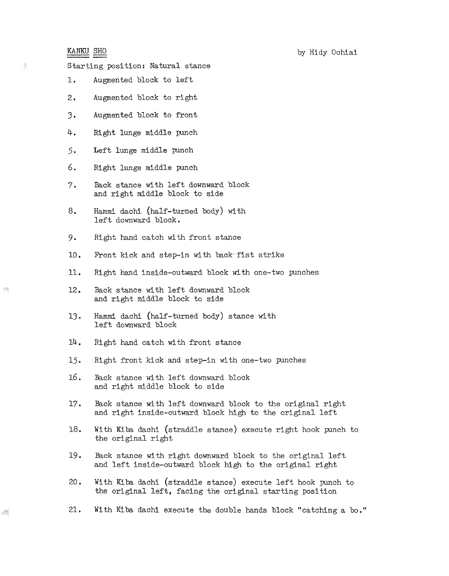## KANKU SHO

ĵŀ.

Starting position: Natural stance

- **1.** Augmented block to left
- 2. Augmented block to right
- 3. Augmented block to front
- 4. Right lunge middle punch
- 5. Left lunge middle punch
- 6. Right lunge middle punch
- 7. Back stance with left downward block and right middle block to side
- 8. Hammi dachi (half-turned body) with left downward block.
- 9. Right hand catch with front stance
- 10. Front kick and step-in with back-fist strike
- **11.** Right hand inside-outward block with one-two punches
- 12. Back stance with left downward block and right middle block to side
- 13. Hammi dachi (half-turned body) stance with left downward block
- 14. Right hand catch with front stance
- 15. Right front kick and step-in with one-two punches
- 16. Back stance with left downward block and right middle block to side
- 17. Back stance with left downward block to the original right and right inside-outward block high to the original left
- 18. With Kiba dachi (straddle stance) execute right hook punch to the original right
- 19. Back stance with right downward block to the original left and left inside-outward block high to the original right
- 20 Wi th Kiba dachi (straddle stance) execute left hook punch to the original left, facing the original starting position
- 21. With Kiba dachi execute the double hands block "catching a bo."

26.